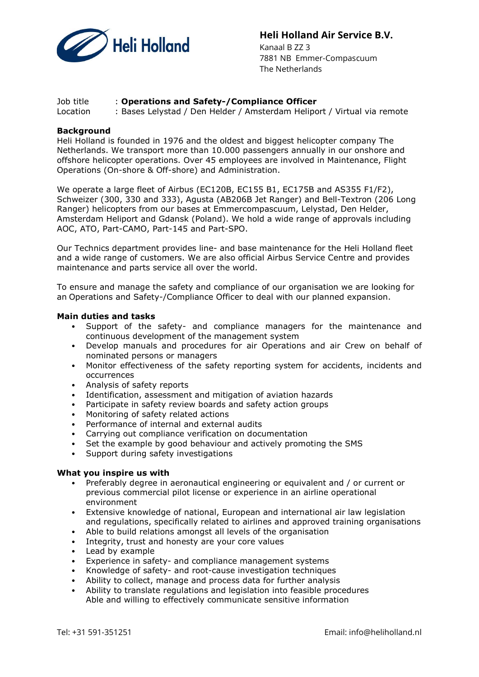

# Heli Holland Air Service B.V.

 Kanaal B ZZ 3 7881 NB Emmer-Compascuum The Netherlands

### Job title : Operations and Safety-/Compliance Officer

Location : Bases Lelystad / Den Helder / Amsterdam Heliport / Virtual via remote

### **Background**

Heli Holland is founded in 1976 and the oldest and biggest helicopter company The Netherlands. We transport more than 10.000 passengers annually in our onshore and offshore helicopter operations. Over 45 employees are involved in Maintenance, Flight Operations (On-shore & Off-shore) and Administration.

We operate a large fleet of Airbus (EC120B, EC155 B1, EC175B and AS355 F1/F2), Schweizer (300, 330 and 333), Agusta (AB206B Jet Ranger) and Bell-Textron (206 Long Ranger) helicopters from our bases at Emmercompascuum, Lelystad, Den Helder, Amsterdam Heliport and Gdansk (Poland). We hold a wide range of approvals including AOC, ATO, Part-CAMO, Part-145 and Part-SPO.

Our Technics department provides line- and base maintenance for the Heli Holland fleet and a wide range of customers. We are also official Airbus Service Centre and provides maintenance and parts service all over the world.

To ensure and manage the safety and compliance of our organisation we are looking for an Operations and Safety-/Compliance Officer to deal with our planned expansion.

### Main duties and tasks

- Support of the safety- and compliance managers for the maintenance and continuous development of the management system
- Develop manuals and procedures for air Operations and air Crew on behalf of nominated persons or managers
- Monitor effectiveness of the safety reporting system for accidents, incidents and occurrences
- Analysis of safety reports
- Identification, assessment and mitigation of aviation hazards
- Participate in safety review boards and safety action groups
- Monitoring of safety related actions
- Performance of internal and external audits
- Carrying out compliance verification on documentation
- Set the example by good behaviour and actively promoting the SMS
- Support during safety investigations

### What you inspire us with

- Preferably degree in aeronautical engineering or equivalent and / or current or previous commercial pilot license or experience in an airline operational environment
- Extensive knowledge of national, European and international air law legislation and regulations, specifically related to airlines and approved training organisations
- Able to build relations amongst all levels of the organisation
- Integrity, trust and honesty are your core values
- Lead by example
- Experience in safety- and compliance management systems
- Knowledge of safety- and root-cause investigation techniques
- Ability to collect, manage and process data for further analysis
- Ability to translate regulations and legislation into feasible procedures Able and willing to effectively communicate sensitive information